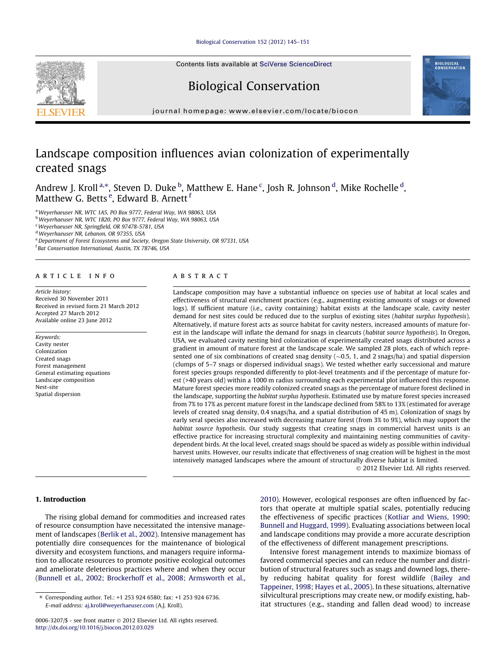# [Biological Conservation 152 \(2012\) 145–151](http://dx.doi.org/10.1016/j.biocon.2012.03.029)

Contents lists available at [SciVerse ScienceDirect](http://www.sciencedirect.com/science/journal/00063207)

# Biological Conservation



journal homepage: [www.elsevier.com/locate/biocon](http://www.elsevier.com/locate/biocon)

# Landscape composition influences avian colonization of experimentally created snags

Andrew J. Kroll $^{\mathrm{a},\mathrm{*}}$ , Steven D. Duke $^{\mathrm{b}}$ , Matthew E. Hane  $^{\mathrm{c}}$ , Josh R. Johnson  $^{\mathrm{d}}$ , Mike Rochelle  $^{\mathrm{d}}$ , Matthew G. Betts <sup>e</sup>, Edward B. Arnett <sup>f</sup>

<sup>a</sup> Weyerhaeuser NR, WTC 1A5, PO Box 9777, Federal Way, WA 98063, USA

b Weverhaeuser NR, WTC 1B20, PO Box 9777, Federal Way, WA 98063, USA

<sup>c</sup>Weyerhaeuser NR, Springfield, OR 97478-5781, USA

<sup>d</sup>Weyerhaeuser NR, Lebanon, OR 97355, USA

e Department of Forest Ecosystems and Society, Oregon State University, OR 97331, USA

f Bat Conservation International, Austin, TX 78746, USA

# article info

Article history: Received 30 November 2011 Received in revised form 21 March 2012 Accepted 27 March 2012 Available online 23 June 2012

Keywords: Cavity nester Colonization Created snags Forest management General estimating equations Landscape composition Nest-site Spatial dispersion

# ABSTRACT

Landscape composition may have a substantial influence on species use of habitat at local scales and effectiveness of structural enrichment practices (e.g., augmenting existing amounts of snags or downed logs). If sufficient mature (i.e., cavity containing) habitat exists at the landscape scale, cavity nester demand for nest sites could be reduced due to the surplus of existing sites (habitat surplus hypothesis). Alternatively, if mature forest acts as source habitat for cavity nesters, increased amounts of mature forest in the landscape will inflate the demand for snags in clearcuts (habitat source hypothesis). In Oregon, USA, we evaluated cavity nesting bird colonization of experimentally created snags distributed across a gradient in amount of mature forest at the landscape scale. We sampled 28 plots, each of which represented one of six combinations of created snag density  $(\sim 0.5, 1, \text{ and } 2 \text{ snags/ha})$  and spatial dispersion (clumps of 5–7 snags or dispersed individual snags). We tested whether early successional and mature forest species groups responded differently to plot-level treatments and if the percentage of mature forest (>40 years old) within a 1000 m radius surrounding each experimental plot influenced this response. Mature forest species more readily colonized created snags as the percentage of mature forest declined in the landscape, supporting the habitat surplus hypothesis. Estimated use by mature forest species increased from 7% to 17% as percent mature forest in the landscape declined from 58% to 13% (estimated for average levels of created snag density, 0.4 snags/ha, and a spatial distribution of 45 m). Colonization of snags by early seral species also increased with decreasing mature forest (from 3% to 9%), which may support the habitat source hypothesis. Our study suggests that creating snags in commercial harvest units is an effective practice for increasing structural complexity and maintaining nesting communities of cavitydependent birds. At the local level, created snags should be spaced as widely as possible within individual harvest units. However, our results indicate that effectiveness of snag creation will be highest in the most intensively managed landscapes where the amount of structurally diverse habitat is limited.

- 2012 Elsevier Ltd. All rights reserved.

# 1. Introduction

The rising global demand for commodities and increased rates of resource consumption have necessitated the intensive management of landscapes [\(Berlik et al., 2002](#page-5-0)). Intensive management has potentially dire consequences for the maintenance of biological diversity and ecosystem functions, and managers require information to allocate resources to promote positive ecological outcomes and ameliorate deleterious practices where and when they occur ([Bunnell et al., 2002; Brockerhoff et al., 2008; Armsworth et al.,](#page-5-0)

[2010](#page-5-0)). However, ecological responses are often influenced by factors that operate at multiple spatial scales, potentially reducing the effectiveness of specific practices ([Kotliar and Wiens, 1990;](#page-6-0) [Bunnell and Huggard, 1999\)](#page-6-0). Evaluating associations between local and landscape conditions may provide a more accurate description of the effectiveness of different management prescriptions.

Intensive forest management intends to maximize biomass of favored commercial species and can reduce the number and distribution of structural features such as snags and downed logs, thereby reducing habitat quality for forest wildlife ([Bailey and](#page-5-0) [Tappeiner, 1998; Hayes et al., 2005](#page-5-0)). In these situations, alternative silvicultural prescriptions may create new, or modify existing, habitat structures (e.g., standing and fallen dead wood) to increase



<sup>⇑</sup> Corresponding author. Tel.: +1 253 924 6580; fax: +1 253 924 6736. E-mail address: [aj.kroll@weyerhaeuser.com](mailto:aj.kroll@weyerhaeuser.com) (A.J. Kroll).

<sup>0006-3207/\$ -</sup> see front matter © 2012 Elsevier Ltd. All rights reserved. <http://dx.doi.org/10.1016/j.biocon.2012.03.029>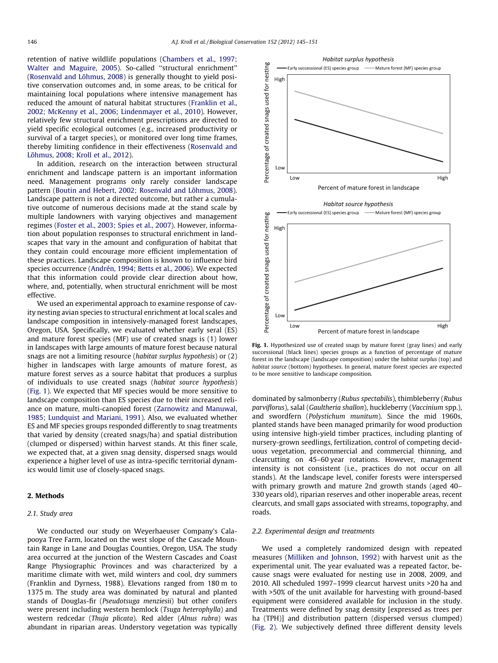retention of native wildlife populations [\(Chambers et al., 1997;](#page-5-0) [Walter and Maguire, 2005](#page-5-0)). So-called ''structural enrichment'' ([Rosenvald and Lõhmus, 2008](#page-6-0)) is generally thought to yield positive conservation outcomes and, in some areas, to be critical for maintaining local populations where intensive management has reduced the amount of natural habitat structures ([Franklin et al.,](#page-5-0) [2002; McKenny et al., 2006; Lindenmayer et al., 2010\)](#page-5-0). However, relatively few structural enrichment prescriptions are directed to yield specific ecological outcomes (e.g., increased productivity or survival of a target species), or monitored over long time frames, thereby limiting confidence in their effectiveness [\(Rosenvald and](#page-6-0) [Lõhmus, 2008; Kroll et al., 2012](#page-6-0)).

In addition, research on the interaction between structural enrichment and landscape pattern is an important information need. Management programs only rarely consider landscape pattern ([Boutin and Hebert, 2002; Rosenvald and Lõhmus, 2008\)](#page-5-0). Landscape pattern is not a directed outcome, but rather a cumulative outcome of numerous decisions made at the stand scale by multiple landowners with varying objectives and management regimes [\(Foster et al., 2003; Spies et al., 2007\)](#page-5-0). However, information about population responses to structural enrichment in landscapes that vary in the amount and configuration of habitat that they contain could encourage more efficient implementation of these practices. Landscape composition is known to influence bird species occurrence ([Andrén, 1994; Betts et al., 2006\)](#page-5-0). We expected that this information could provide clear direction about how, where, and, potentially, when structural enrichment will be most effective.

We used an experimental approach to examine response of cavity nesting avian species to structural enrichment at local scales and landscape composition in intensively-managed forest landscapes, Oregon, USA. Specifically, we evaluated whether early seral (ES) and mature forest species (MF) use of created snags is (1) lower in landscapes with large amounts of mature forest because natural snags are not a limiting resource (habitat surplus hypothesis) or (2) higher in landscapes with large amounts of mature forest, as mature forest serves as a source habitat that produces a surplus of individuals to use created snags (habitat source hypothesis) (Fig. 1). We expected that MF species would be more sensitive to landscape composition than ES species due to their increased reliance on mature, multi-canopied forest ([Zarnowitz and Manuwal,](#page-6-0) [1985; Lundquist and Mariani, 1991\)](#page-6-0). Also, we evaluated whether ES and MF species groups responded differently to snag treatments that varied by density (created snags/ha) and spatial distribution (clumped or dispersed) within harvest stands. At this finer scale, we expected that, at a given snag density, dispersed snags would experience a higher level of use as intra-specific territorial dynamics would limit use of closely-spaced snags.

# 2. Methods

## 2.1. Study area

We conducted our study on Weyerhaeuser Company's Calapooya Tree Farm, located on the west slope of the Cascade Mountain Range in Lane and Douglas Counties, Oregon, USA. The study area occurred at the junction of the Western Cascades and Coast Range Physiographic Provinces and was characterized by a maritime climate with wet, mild winters and cool, dry summers (Franklin and Dyrness, 1988). Elevations ranged from 180 m to 1375 m. The study area was dominated by natural and planted stands of Douglas-fir (Pseudotsuga menziesii) but other conifers were present including western hemlock (Tsuga heterophylla) and western redcedar (Thuja plicata). Red alder (Alnus rubra) was abundant in riparian areas. Understory vegetation was typically



Fig. 1. Hypothesized use of created snags by mature forest (gray lines) and early successional (black lines) species groups as a function of percentage of mature forest in the landscape (landscape composition) under the habitat surplus (top) and habitat source (bottom) hypotheses. In general, mature forest species are expected to be more sensitive to landscape composition.

dominated by salmonberry (Rubus spectabilis), thimbleberry (Rubus parviflorus), salal (Gaultheria shallon), huckleberry (Vaccinium spp.), and swordfern (Polystichum munitum). Since the mid 1960s, planted stands have been managed primarily for wood production using intensive high-yield timber practices, including planting of nursery-grown seedlings, fertilization, control of competing deciduous vegetation, precommercial and commercial thinning, and clearcutting on 45–60 year rotations. However, management intensity is not consistent (i.e., practices do not occur on all stands). At the landscape level, conifer forests were interspersed with primary growth and mature 2nd growth stands (aged 40– 330 years old), riparian reserves and other inoperable areas, recent clearcuts, and small gaps associated with streams, topography, and roads.

# 2.2. Experimental design and treatments

We used a completely randomized design with repeated measures [\(Milliken and Johnson, 1992](#page-6-0)) with harvest unit as the experimental unit. The year evaluated was a repeated factor, because snags were evaluated for nesting use in 2008, 2009, and 2010. All scheduled 1997–1999 clearcut harvest units >20 ha and with >50% of the unit available for harvesting with ground-based equipment were considered available for inclusion in the study. Treatments were defined by snag density [expressed as trees per ha (TPH)] and distribution pattern (dispersed versus clumped) ([Fig. 2](#page-2-0)). We subjectively defined three different density levels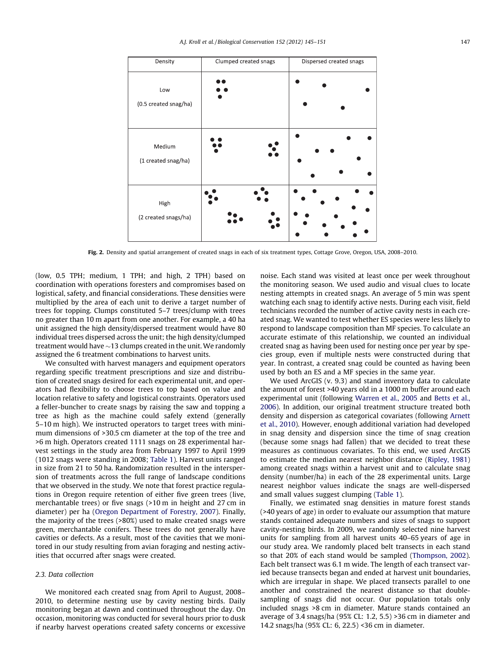<span id="page-2-0"></span>

| Density                       | Clumped created snags | Dispersed created snags |  |  |
|-------------------------------|-----------------------|-------------------------|--|--|
| Low<br>(0.5 created snag/ha)  |                       |                         |  |  |
| Medium<br>(1 created snag/ha) |                       |                         |  |  |
| High<br>(2 created snags/ha)  |                       |                         |  |  |

Fig. 2. Density and spatial arrangement of created snags in each of six treatment types, Cottage Grove, Oregon, USA, 2008–2010.

(low, 0.5 TPH; medium, 1 TPH; and high, 2 TPH) based on coordination with operations foresters and compromises based on logistical, safety, and financial considerations. These densities were multiplied by the area of each unit to derive a target number of trees for topping. Clumps constituted 5–7 trees/clump with trees no greater than 10 m apart from one another. For example, a 40 ha unit assigned the high density/dispersed treatment would have 80 individual trees dispersed across the unit; the high density/clumped treatment would have  ${\sim}$ 13 clumps created in the unit. We randomly assigned the 6 treatment combinations to harvest units.

We consulted with harvest managers and equipment operators regarding specific treatment prescriptions and size and distribution of created snags desired for each experimental unit, and operators had flexibility to choose trees to top based on value and location relative to safety and logistical constraints. Operators used a feller-buncher to create snags by raising the saw and topping a tree as high as the machine could safely extend (generally 5–10 m high). We instructed operators to target trees with minimum dimensions of >30.5 cm diameter at the top of the tree and >6 m high. Operators created 1111 snags on 28 experimental harvest settings in the study area from February 1997 to April 1999 (1012 snags were standing in 2008; [Table 1](#page-3-0)). Harvest units ranged in size from 21 to 50 ha. Randomization resulted in the interspersion of treatments across the full range of landscape conditions that we observed in the study. We note that forest practice regulations in Oregon require retention of either five green trees (live, merchantable trees) or five snags (>10 m in height and 27 cm in diameter) per ha ([Oregon Department of Forestry, 2007](#page-6-0)). Finally, the majority of the trees (>80%) used to make created snags were green, merchantable conifers. These trees do not generally have cavities or defects. As a result, most of the cavities that we monitored in our study resulting from avian foraging and nesting activities that occurred after snags were created.

# 2.3. Data collection

We monitored each created snag from April to August, 2008– 2010, to determine nesting use by cavity nesting birds. Daily monitoring began at dawn and continued throughout the day. On occasion, monitoring was conducted for several hours prior to dusk if nearby harvest operations created safety concerns or excessive noise. Each stand was visited at least once per week throughout the monitoring season. We used audio and visual clues to locate nesting attempts in created snags. An average of 5 min was spent watching each snag to identify active nests. During each visit, field technicians recorded the number of active cavity nests in each created snag. We wanted to test whether ES species were less likely to respond to landscape composition than MF species. To calculate an accurate estimate of this relationship, we counted an individual created snag as having been used for nesting once per year by species group, even if multiple nests were constructed during that year. In contrast, a created snag could be counted as having been used by both an ES and a MF species in the same year.

We used ArcGIS (v. 9.3) and stand inventory data to calculate the amount of forest >40 years old in a 1000 m buffer around each experimental unit (following [Warren et al., 2005](#page-6-0) and [Betts et al.,](#page-5-0) [2006](#page-5-0)). In addition, our original treatment structure treated both density and dispersion as categorical covariates (following [Arnett](#page-5-0) [et al., 2010](#page-5-0)). However, enough additional variation had developed in snag density and dispersion since the time of snag creation (because some snags had fallen) that we decided to treat these measures as continuous covariates. To this end, we used ArcGIS to estimate the median nearest neighbor distance ([Ripley, 1981\)](#page-6-0) among created snags within a harvest unit and to calculate snag density (number/ha) in each of the 28 experimental units. Large nearest neighbor values indicate the snags are well-dispersed and small values suggest clumping [\(Table 1](#page-3-0)).

Finally, we estimated snag densities in mature forest stands (>40 years of age) in order to evaluate our assumption that mature stands contained adequate numbers and sizes of snags to support cavity-nesting birds. In 2009, we randomly selected nine harvest units for sampling from all harvest units 40–65 years of age in our study area. We randomly placed belt transects in each stand so that 20% of each stand would be sampled ([Thompson, 2002\)](#page-6-0). Each belt transect was 6.1 m wide. The length of each transect varied because transects began and ended at harvest unit boundaries, which are irregular in shape. We placed transects parallel to one another and constrained the nearest distance so that doublesampling of snags did not occur. Our population totals only included snags >8 cm in diameter. Mature stands contained an average of 3.4 snags/ha (95% CL: 1.2, 5.5) >36 cm in diameter and 14.2 snags/ha (95% CL: 6, 22.5) <36 cm in diameter.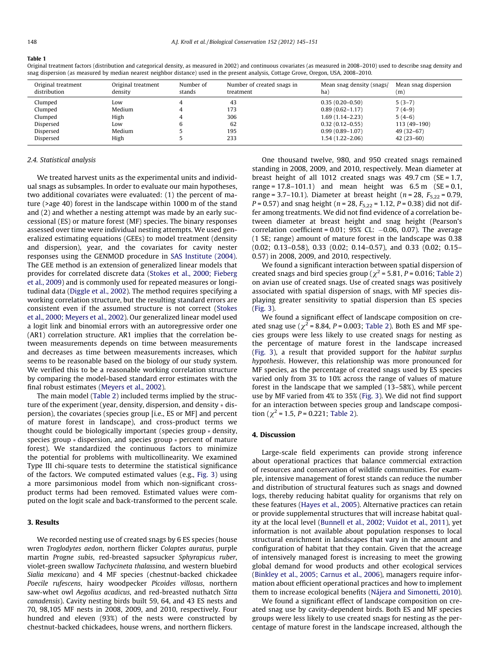#### <span id="page-3-0"></span>Table 1

Original treatment factors (distribution and categorical density, as measured in 2002) and continuous covariates (as measured in 2008–2010) used to describe snag density and snag dispersion (as measured by median nearest neighbor distance) used in the present analysis, Cottage Grove, Oregon, USA, 2008–2010.

| Original treatment<br>distribution | Original treatment<br>density | Number of<br>stands | Number of created snags in<br>treatment | Mean snag density (snags/<br>ha) | Mean snag dispersion<br>(m) |
|------------------------------------|-------------------------------|---------------------|-----------------------------------------|----------------------------------|-----------------------------|
| Clumped                            | Low.                          |                     | 43                                      | $0.35(0.20-0.50)$                | $5(3-7)$                    |
| Clumped                            | Medium                        |                     | 173                                     | $0.89(0.62 - 1.17)$              | $7(4-9)$                    |
| Clumped                            | High                          |                     | 306                                     | 1.69 (1.14–2.23)                 | $5(4-6)$                    |
| Dispersed                          | LOW                           | 6                   | 62                                      | $0.32(0.12 - 0.55)$              | 113 (49-190)                |
| Dispersed                          | Medium                        |                     | 195                                     | $0.99(0.89 - 1.07)$              | 49 (32–67)                  |
| Dispersed                          | High                          |                     | 233                                     | 1.54 (1.22–2.06)                 | $42(23-60)$                 |

### 2.4. Statistical analysis

We treated harvest units as the experimental units and individual snags as subsamples. In order to evaluate our main hypotheses, two additional covariates were evaluated: (1) the percent of mature (>age 40) forest in the landscape within 1000 m of the stand and (2) and whether a nesting attempt was made by an early successional (ES) or mature forest (MF) species. The binary responses assessed over time were individual nesting attempts. We used generalized estimating equations (GEEs) to model treatment (density and dispersion), year, and the covariates for cavity nester responses using the GENMOD procedure in [SAS Institute \(2004\).](#page-6-0) The GEE method is an extension of generalized linear models that provides for correlated discrete data [\(Stokes et al., 2000; Fieberg](#page-6-0) [et al., 2009\)](#page-6-0) and is commonly used for repeated measures or longitudinal data ([Diggle et al., 2002](#page-5-0)). The method requires specifying a working correlation structure, but the resulting standard errors are consistent even if the assumed structure is not correct [\(Stokes](#page-6-0) [et al., 2000; Meyers et al., 2002](#page-6-0)). Our generalized linear model used a logit link and binomial errors with an autoregressive order one (AR1) correlation structure. AR1 implies that the correlation between measurements depends on time between measurements and decreases as time between measurements increases, which seems to be reasonable based on the biology of our study system. We verified this to be a reasonable working correlation structure by comparing the model-based standard error estimates with the final robust estimates [\(Meyers et al., 2002](#page-6-0)).

The main model [\(Table 2\)](#page-4-0) included terms implied by the structure of the experiment (year, density, dispersion, and density  $*$  dispersion), the covariates (species group [i.e., ES or MF] and percent of mature forest in landscape), and cross-product terms we thought could be biologically important (species group  $*$  density, species group  $*$  dispersion, and species group  $*$  percent of mature forest). We standardized the continuous factors to minimize the potential for problems with multicollinearity. We examined Type III chi-square tests to determine the statistical significance of the factors. We computed estimated values (e.g., [Fig. 3](#page-4-0)) using a more parsimonious model from which non-significant crossproduct terms had been removed. Estimated values were computed on the logit scale and back-transformed to the percent scale.

# 3. Results

We recorded nesting use of created snags by 6 ES species (house wren Troglodytes aedon, northern flicker Colaptes auratus, purple martin Progne subis, red-breasted sapsucker Sphyrapicus ruber, violet-green swallow Tachycineta thalassina, and western bluebird Sialia mexicana) and 4 MF species (chestnut-backed chickadee Poecile rufescens, hairy woodpecker Picoides villosus, northern saw-whet owl Aegolius acadicus, and red-breasted nuthatch Sitta canadensis). Cavity nesting birds built 59, 64, and 43 ES nests and 70, 98,105 MF nests in 2008, 2009, and 2010, respectively. Four hundred and eleven (93%) of the nests were constructed by chestnut-backed chickadees, house wrens, and northern flickers.

One thousand twelve, 980, and 950 created snags remained standing in 2008, 2009, and 2010, respectively. Mean diameter at breast height of all 1012 created snags was 49.7 cm (SE = 1.7, range =  $17.8 - 101.1$ ) and mean height was  $6.5 \text{ m}$  (SE = 0.1, range = 3.7–10.1). Diameter at breast height ( $n = 28$ ,  $F_{5,22} = 0.79$ ,  $P = 0.57$ ) and snag height ( $n = 28$ ,  $F_{5,22} = 1.12$ ,  $P = 0.38$ ) did not differ among treatments. We did not find evidence of a correlation between diameter at breast height and snag height (Pearson's correlation coefficient =  $0.01$ ;  $95%$  CL:  $-0.06$ ,  $0.07$ ). The average (1 SE; range) amount of mature forest in the landscape was 0.38 (0.02; 0.13–0.58), 0.33 (0.02; 0.14–0.57), and 0.33 (0.02; 0.15– 0.57) in 2008, 2009, and 2010, respectively.

We found a significant interaction between spatial dispersion of created snags and bird species group ( $\chi^2$  = 5.81, P = 0.016; [Table 2\)](#page-4-0) on avian use of created snags. Use of created snags was positively associated with spatial dispersion of snags, with MF species displaying greater sensitivity to spatial dispersion than ES species ([Fig. 3](#page-4-0)).

We found a significant effect of landscape composition on created snag use ( $\chi^2$  = 8.84, P = 0.003; [Table 2\)](#page-4-0). Both ES and MF species groups were less likely to use created snags for nesting as the percentage of mature forest in the landscape increased ([Fig. 3](#page-4-0)), a result that provided support for the habitat surplus hypothesis. However, this relationship was more pronounced for MF species, as the percentage of created snags used by ES species varied only from 3% to 10% across the range of values of mature forest in the landscape that we sampled (13–58%), while percent use by MF varied from 4% to 35% [\(Fig. 3](#page-4-0)). We did not find support for an interaction between species group and landscape composition ( $\chi^2$  = 1.5, *P* = 0.221; [Table 2](#page-4-0)).

## 4. Discussion

Large-scale field experiments can provide strong inference about operational practices that balance commercial extraction of resources and conservation of wildlife communities. For example, intensive management of forest stands can reduce the number and distribution of structural features such as snags and downed logs, thereby reducing habitat quality for organisms that rely on these features [\(Hayes et al., 2005](#page-6-0)). Alternative practices can retain or provide supplemental structures that will increase habitat quality at the local level ([Bunnell et al., 2002; Vuidot et al., 2011](#page-5-0)), yet information is not available about population responses to local structural enrichment in landscapes that vary in the amount and configuration of habitat that they contain. Given that the acreage of intensively managed forest is increasing to meet the growing global demand for wood products and other ecological services ([Binkley et al., 2005; Carnus et al., 2006](#page-5-0)), managers require information about efficient operational practices and how to implement them to increase ecological benefits ([Nájera and Simonetti, 2010\)](#page-6-0).

We found a significant effect of landscape composition on created snag use by cavity-dependent birds. Both ES and MF species groups were less likely to use created snags for nesting as the percentage of mature forest in the landscape increased, although the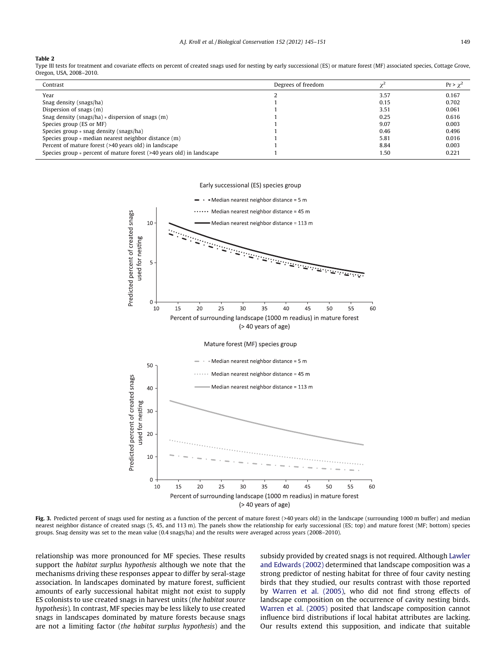## <span id="page-4-0"></span>Table 2

Type III tests for treatment and covariate effects on percent of created snags used for nesting by early successional (ES) or mature forest (MF) associated species, Cottage Grove, Oregon, USA, 2008–2010.

| Contrast                                                                   | Degrees of freedom |      | $Pr > \gamma^2$ |
|----------------------------------------------------------------------------|--------------------|------|-----------------|
| Year                                                                       |                    | 3.57 | 0.167           |
| Snag density (snags/ha)                                                    |                    | 0.15 | 0.702           |
| Dispersion of snags (m)                                                    |                    | 3.51 | 0.061           |
| Snag density (snags/ha) $*$ dispersion of snags (m)                        |                    | 0.25 | 0.616           |
| Species group (ES or MF)                                                   |                    | 9.07 | 0.003           |
| Species group $*$ snag density (snags/ha)                                  |                    | 0.46 | 0.496           |
| Species group * median nearest neighbor distance (m)                       |                    | 5.81 | 0.016           |
| Percent of mature forest (>40 years old) in landscape                      |                    | 8.84 | 0.003           |
| Species group $*$ percent of mature forest ( $>40$ years old) in landscape |                    | 1.50 | 0.221           |

### Early successional (ES) species group



Fig. 3. Predicted percent of snags used for nesting as a function of the percent of mature forest (>40 years old) in the landscape (surrounding 1000 m buffer) and median nearest neighbor distance of created snags (5, 45, and 113 m). The panels show the relationship for early successional (ES; top) and mature forest (MF; bottom) species groups. Snag density was set to the mean value (0.4 snags/ha) and the results were averaged across years (2008–2010).

relationship was more pronounced for MF species. These results support the habitat surplus hypothesis although we note that the mechanisms driving these responses appear to differ by seral-stage association. In landscapes dominated by mature forest, sufficient amounts of early successional habitat might not exist to supply ES colonists to use created snags in harvest units (the habitat source hypothesis). In contrast, MF species may be less likely to use created snags in landscapes dominated by mature forests because snags are not a limiting factor (the habitat surplus hypothesis) and the subsidy provided by created snags is not required. Although [Lawler](#page-6-0) [and Edwards \(2002\)](#page-6-0) determined that landscape composition was a strong predictor of nesting habitat for three of four cavity nesting birds that they studied, our results contrast with those reported by [Warren et al. \(2005\)](#page-6-0), who did not find strong effects of landscape composition on the occurrence of cavity nesting birds. [Warren et al. \(2005\)](#page-6-0) posited that landscape composition cannot influence bird distributions if local habitat attributes are lacking. Our results extend this supposition, and indicate that suitable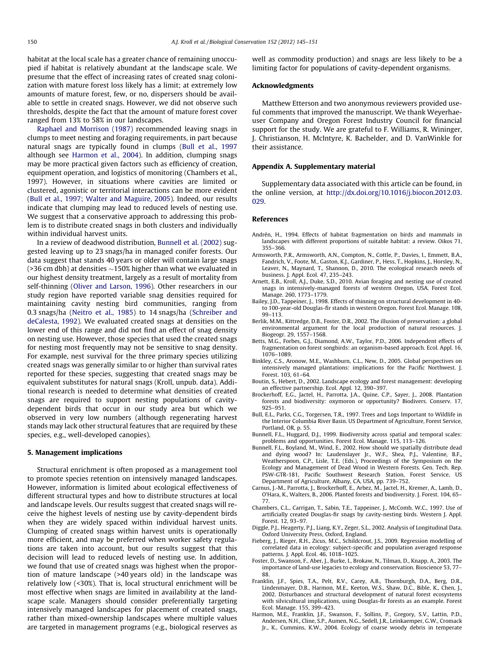<span id="page-5-0"></span>habitat at the local scale has a greater chance of remaining unoccupied if habitat is relatively abundant at the landscape scale. We presume that the effect of increasing rates of created snag colonization with mature forest loss likely has a limit; at extremely low amounts of mature forest, few, or no, dispersers should be available to settle in created snags. However, we did not observe such thresholds, despite the fact that the amount of mature forest cover ranged from 13% to 58% in our landscapes.

[Raphael and Morrison \(1987\)](#page-6-0) recommended leaving snags in clumps to meet nesting and foraging requirements, in part because natural snags are typically found in clumps (Bull et al., 1997 although see Harmon et al., 2004). In addition, clumping snags may be more practical given factors such as efficiency of creation, equipment operation, and logistics of monitoring (Chambers et al., 1997). However, in situations where cavities are limited or clustered, agonistic or territorial interactions can be more evident (Bull et al., 1997; Walter and Maguire, 2005). Indeed, our results indicate that clumping may lead to reduced levels of nesting use. We suggest that a conservative approach to addressing this problem is to distribute created snags in both clusters and individually within individual harvest units.

In a review of deadwood distribution, Bunnell et al. (2002) suggested leaving up to 23 snags/ha in managed conifer forests. Our data suggest that stands 40 years or older will contain large snags (>36 cm dbh) at densities  ${\sim}150\%$  higher than what we evaluated in our highest density treatment, largely as a result of mortality from self-thinning ([Oliver and Larson, 1996](#page-6-0)). Other researchers in our study region have reported variable snag densities required for maintaining cavity nesting bird communities, ranging from 0.3 snags/ha [\(Neitro et al., 1985](#page-6-0)) to 14 snags/ha [\(Schreiber and](#page-6-0) [deCalesta, 1992\)](#page-6-0). We evaluated created snags at densities on the lower end of this range and did not find an effect of snag density on nesting use. However, those species that used the created snags for nesting most frequently may not be sensitive to snag density. For example, nest survival for the three primary species utilizing created snags was generally similar to or higher than survival rates reported for these species, suggesting that created snags may be equivalent substitutes for natural snags (Kroll, unpub. data). Additional research is needed to determine what densities of created snags are required to support nesting populations of cavitydependent birds that occur in our study area but which we observed in very low numbers (although regenerating harvest stands may lack other structural features that are required by these species, e.g., well-developed canopies).

## 5. Management implications

Structural enrichment is often proposed as a management tool to promote species retention on intensively managed landscapes. However, information is limited about ecological effectiveness of different structural types and how to distribute structures at local and landscape levels. Our results suggest that created snags will receive the highest levels of nesting use by cavity-dependent birds when they are widely spaced within individual harvest units. Clumping of created snags within harvest units is operationally more efficient, and may be preferred when worker safety regulations are taken into account, but our results suggest that this decision will lead to reduced levels of nesting use. In addition, we found that use of created snags was highest when the proportion of mature landscape (>40 years old) in the landscape was relatively low (<30%). That is, local structural enrichment will be most effective when snags are limited in availability at the landscape scale. Managers should consider preferentially targeting intensively managed landscapes for placement of created snags, rather than mixed-ownership landscapes where multiple values are targeted in management programs (e.g., biological reserves as well as commodity production) and snags are less likely to be a limiting factor for populations of cavity-dependent organisms.

# Acknowledgments

Matthew Etterson and two anonymous reviewers provided useful comments that improved the manuscript. We thank Weyerhaeuser Company and Oregon Forest Industry Council for financial support for the study. We are grateful to F. Williams, R. Wininger, J. Christianson, H. McIntyre, K. Bachelder, and D. VanWinkle for their assistance.

# Appendix A. Supplementary material

Supplementary data associated with this article can be found, in the online version, at [http://dx.doi.org/10.1016/j.biocon.2012.03.](http://dx.doi.org/10.1016/j.biocon.2012.03.029) [029.](http://dx.doi.org/10.1016/j.biocon.2012.03.029)

# References

- Andrén, H., 1994. Effects of habitat fragmentation on birds and mammals in landscapes with different proportions of suitable habitat: a review. Oikos 71, 355–366.
- Armsworth, P.R., Armsworth, A.N., Compton, N., Cottle, P., Davies, I., Emmett, B.A., Fandrich, V., Foote, M., Gaston, K.J., Gardiner, P., Hess, T., Hopkins, J., Horsley, N., Leaver, N., Maynard, T., Shannon, D., 2010. The ecological research needs of business. J. Appl. Ecol. 47, 235–243.
- Arnett, E.B., Kroll, A.J., Duke, S.D., 2010. Avian foraging and nesting use of created snags in intensively-managed forests of western Oregon, USA. Forest Ecol. Manage. 260, 1773–1779.
- Bailey, J.D., Tappeiner, J., 1998. Effects of thinning on structural development in 40 to 100-year-old Douglas-fir stands in western Oregon. Forest Ecol. Manage. 108, 99–113.
- Berlik, M.M., Kittredge, D.B., Foster, D.R., 2002. The illusion of preservation: a global environmental argument for the local production of natural resources. J. Biogeogr. 29, 1557–1568.
- Betts, M.G., Forbes, G.J., Diamond, A.W., Taylor, P.D., 2006. Independent effects of fragmentation on forest songbirds: an organism-based approach. Ecol. Appl. 16, 1076–1089.
- Binkley, C.S., Aronow, M.E., Washburn, C.L., New, D., 2005. Global perspectives on intensively managed plantations: implications for the Pacific Northwest. J. Forest. 103, 61–64.
- Boutin, S., Hebert, D., 2002. Landscape ecology and forest management: developing an effective partnership. Ecol. Appl. 12, 390–397.
- Brockerhoff, E.G., Jactel, H., Parrotta, J.A., Quine, C.P., Sayer, J., 2008. Plantation forests and biodiversity: oxymoron or opportunity? Biodivers. Conserv. 17, 925–951.
- Bull, E.L., Parks, C.G., Torgersen, T.R., 1997. Trees and Logs Important to Wildlife in the Interior Columbia River Basin. US Department of Agriculture, Forest Service, Portland, OR, p. 55.
- Bunnell, F.L., Huggard, D.J., 1999. Biodiversity across spatial and temporal scales: problems and opportunities. Forest Ecol. Manage. 115, 113–126.
- Bunnell, F.L., Boyland, M., Wind, E., 2002. How should we spatially distribute dead and dying wood? In: Laudenslayer Jr., W.F., Shea, P.J., Valentine, B.F., Weatherspoon, C.P., Lisle, T.E. (Eds.), Proceedings of the Symposium on the Ecology and Management of Dead Wood in Western Forests. Gen. Tech. Rep. PSW-GTR-181, Pacific Southwest Research Station, Forest Service, US Department of Agriculture, Albany, CA, USA, pp. 739–752.
- Carnus, J.-M., Parrotta, J., Brockerhoff, E., Arbez, M., Jactel, H., Kremer, A., Lamb, D., O'Hara, K., Walters, B., 2006. Planted forests and biodiversity. J. Forest. 104, 65– 77.
- Chambers, C.L., Carrigan, T., Sabin, T.E., Tappeiner, J., McComb, W.C., 1997. Use of artificially created Douglas-fir snags by cavity-nesting birds. Western J. Appl. Forest. 12, 93–97.
- Diggle, P.J., Heagerty, P.J., Liang, K.Y., Zeger, S.L., 2002. Analysis of Longitudinal Data. Oxford University Press, Oxford, England.
- Fieberg, J., Rieger, R.H., Zicus, M.C., Schildcrout, J.S., 2009. Regression modelling of correlated data in ecology: subject-specific and population averaged response patterns. J. Appl. Ecol. 46, 1018–1025.
- Foster, D., Swanson, F., Aber, J., Burke, I., Brokaw, N., Tilman, D., Knapp, A., 2003. The importance of land-use legacies to ecology and conservation. Bioscience 53, 77– 88.
- Franklin, J.F., Spies, T.A., Pelt, R.V., Carey, A.B., Thornburgh, D.A., Berg, D.R., Lindenmayer, D.B., Harmon, M.E., Keeton, W.S., Shaw, D.C., Bible, K., Chen, J., 2002. Disturbances and structural development of natural forest ecosystems with silvicultural implications, using Douglas-fir forests as an example. Forest Ecol. Manage. 155, 399–423.
- Harmon, M.E., Franklin, J.F., Swanson, F., Sollins, P., Gregory, S.V., Lattin, P.D., Andersen, N.H., Cline, S.P., Aumen, N.G., Sedell, J.R., Leinkaemper, G.W., Cromack Jr., K., Cummins, K.W., 2004. Ecology of coarse woody debris in temperate